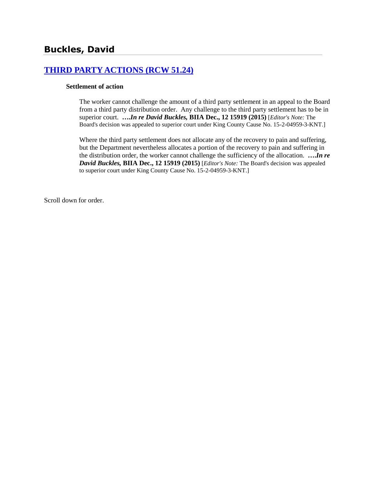# **[THIRD PARTY ACTIONS \(RCW 51.24\)](http://www.biia.wa.gov/SDSubjectIndex.html#THIRD_PARTY_ACTIONS)**

#### **Settlement of action**

The worker cannot challenge the amount of a third party settlement in an appeal to the Board from a third party distribution order. Any challenge to the third party settlement has to be in superior court. **….***In re David Buckles,* **BIIA Dec., 12 15919 (2015)** [*Editor's Note:* The Board's decision was appealed to superior court under King County Cause No. 15-2-04959-3-KNT.]

Where the third party settlement does not allocate any of the recovery to pain and suffering, but the Department nevertheless allocates a portion of the recovery to pain and suffering in the distribution order, the worker cannot challenge the sufficiency of the allocation. **….***In re David Buckles,* **BIIA Dec., 12 15919 (2015)** [*Editor's Note:* The Board's decision was appealed to superior court under King County Cause No. 15-2-04959-3-KNT.]

Scroll down for order.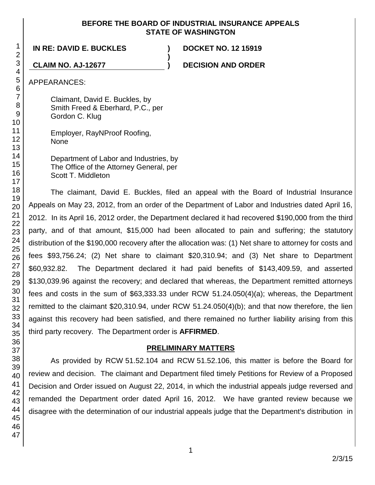#### **BEFORE THE BOARD OF INDUSTRIAL INSURANCE APPEALS STATE OF WASHINGTON**

**)**

**IN RE: DAVID E. BUCKLES ) DOCKET NO. 12 15919**

**CLAIM NO. AJ-12677 ) DECISION AND ORDER**

APPEARANCES:

Claimant, David E. Buckles, by Smith Freed & Eberhard, P.C., per Gordon C. Klug

Employer, RayNProof Roofing, None

Department of Labor and Industries, by The Office of the Attorney General, per Scott T. Middleton

The claimant, David E. Buckles, filed an appeal with the Board of Industrial Insurance Appeals on May 23, 2012, from an order of the Department of Labor and Industries dated April 16, 2012. In its April 16, 2012 order, the Department declared it had recovered \$190,000 from the third party, and of that amount, \$15,000 had been allocated to pain and suffering; the statutory distribution of the \$190,000 recovery after the allocation was: (1) Net share to attorney for costs and fees \$93,756.24; (2) Net share to claimant \$20,310.94; and (3) Net share to Department \$60,932.82. The Department declared it had paid benefits of \$143,409.59, and asserted \$130,039.96 against the recovery; and declared that whereas, the Department remitted attorneys fees and costs in the sum of \$63,333.33 under RCW 51.24.050(4)(a); whereas, the Department remitted to the claimant \$20,310.94, under RCW 51.24.050(4)(b); and that now therefore, the lien against this recovery had been satisfied, and there remained no further liability arising from this third party recovery. The Department order is **AFFIRMED**.

# **PRELIMINARY MATTERS**

As provided by RCW 51.52.104 and RCW 51.52.106, this matter is before the Board for review and decision. The claimant and Department filed timely Petitions for Review of a Proposed Decision and Order issued on August 22, 2014, in which the industrial appeals judge reversed and remanded the Department order dated April 16, 2012. We have granted review because we disagree with the determination of our industrial appeals judge that the Department's distribution in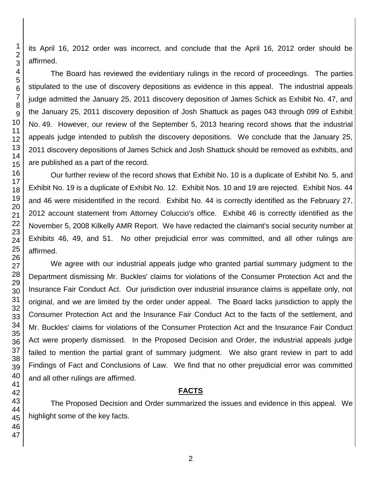its April 16, 2012 order was incorrect, and conclude that the April 16, 2012 order should be affirmed.

The Board has reviewed the evidentiary rulings in the record of proceedings. The parties stipulated to the use of discovery depositions as evidence in this appeal. The industrial appeals judge admitted the January 25, 2011 discovery deposition of James Schick as Exhibit No. 47, and the January 25, 2011 discovery deposition of Josh Shattuck as pages 043 through 099 of Exhibit No. 49. However, our review of the September 5, 2013 hearing record shows that the industrial appeals judge intended to publish the discovery depositions. We conclude that the January 25, 2011 discovery depositions of James Schick and Josh Shattuck should be removed as exhibits, and are published as a part of the record.

Our further review of the record shows that Exhibit No. 10 is a duplicate of Exhibit No. 5, and Exhibit No. 19 is a duplicate of Exhibit No. 12. Exhibit Nos. 10 and 19 are rejected. Exhibit Nos. 44 and 46 were misidentified in the record. Exhibit No. 44 is correctly identified as the February 27, 2012 account statement from Attorney Coluccio's office. Exhibit 46 is correctly identified as the November 5, 2008 Kilkelly AMR Report. We have redacted the claimant's social security number at Exhibits 46, 49, and 51. No other prejudicial error was committed, and all other rulings are affirmed.

We agree with our industrial appeals judge who granted partial summary judgment to the Department dismissing Mr. Buckles' claims for violations of the Consumer Protection Act and the Insurance Fair Conduct Act. Our jurisdiction over industrial insurance claims is appellate only, not original, and we are limited by the order under appeal. The Board lacks jurisdiction to apply the Consumer Protection Act and the Insurance Fair Conduct Act to the facts of the settlement, and Mr. Buckles' claims for violations of the Consumer Protection Act and the Insurance Fair Conduct Act were properly dismissed. In the Proposed Decision and Order, the industrial appeals judge failed to mention the partial grant of summary judgment. We also grant review in part to add Findings of Fact and Conclusions of Law. We find that no other prejudicial error was committed and all other rulings are affirmed.

# **FACTS**

The Proposed Decision and Order summarized the issues and evidence in this appeal. We highlight some of the key facts.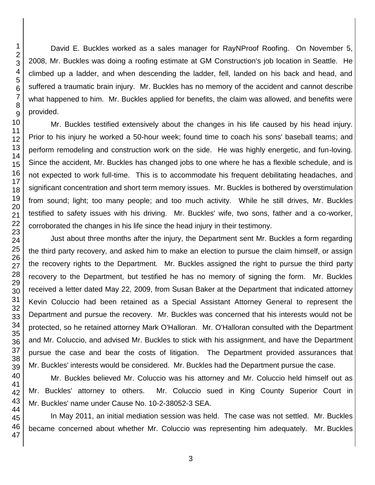David E. Buckles worked as a sales manager for RayNProof Roofing. On November 5, 2008, Mr. Buckles was doing a roofing estimate at GM Construction's job location in Seattle. He climbed up a ladder, and when descending the ladder, fell, landed on his back and head, and suffered a traumatic brain injury. Mr. Buckles has no memory of the accident and cannot describe what happened to him. Mr. Buckles applied for benefits, the claim was allowed, and benefits were provided.

Mr. Buckles testified extensively about the changes in his life caused by his head injury. Prior to his injury he worked a 50-hour week; found time to coach his sons' baseball teams; and perform remodeling and construction work on the side. He was highly energetic, and fun-loving. Since the accident, Mr. Buckles has changed jobs to one where he has a flexible schedule, and is not expected to work full-time. This is to accommodate his frequent debilitating headaches, and significant concentration and short term memory issues. Mr. Buckles is bothered by overstimulation from sound; light; too many people; and too much activity. While he still drives, Mr. Buckles testified to safety issues with his driving. Mr. Buckles' wife, two sons, father and a co-worker, corroborated the changes in his life since the head injury in their testimony.

Just about three months after the injury, the Department sent Mr. Buckles a form regarding the third party recovery, and asked him to make an election to pursue the claim himself, or assign the recovery rights to the Department. Mr. Buckles assigned the right to pursue the third party recovery to the Department, but testified he has no memory of signing the form. Mr. Buckles received a letter dated May 22, 2009, from Susan Baker at the Department that indicated attorney Kevin Coluccio had been retained as a Special Assistant Attorney General to represent the Department and pursue the recovery. Mr. Buckles was concerned that his interests would not be protected, so he retained attorney Mark O'Halloran. Mr. O'Halloran consulted with the Department and Mr. Coluccio, and advised Mr. Buckles to stick with his assignment, and have the Department pursue the case and bear the costs of litigation. The Department provided assurances that Mr. Buckles' interests would be considered. Mr. Buckles had the Department pursue the case.

Mr. Buckles believed Mr. Coluccio was his attorney and Mr. Coluccio held himself out as Mr. Buckles' attorney to others. Mr. Coluccio sued in King County Superior Court in Mr. Buckles' name under Cause No. 10-2-38052-3 SEA.

In May 2011, an initial mediation session was held. The case was not settled. Mr. Buckles became concerned about whether Mr. Coluccio was representing him adequately. Mr. Buckles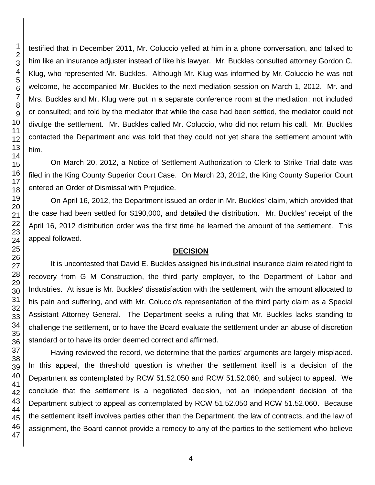testified that in December 2011, Mr. Coluccio yelled at him in a phone conversation, and talked to him like an insurance adjuster instead of like his lawyer. Mr. Buckles consulted attorney Gordon C. Klug, who represented Mr. Buckles. Although Mr. Klug was informed by Mr. Coluccio he was not welcome, he accompanied Mr. Buckles to the next mediation session on March 1, 2012. Mr. and Mrs. Buckles and Mr. Klug were put in a separate conference room at the mediation; not included or consulted; and told by the mediator that while the case had been settled, the mediator could not divulge the settlement. Mr. Buckles called Mr. Coluccio, who did not return his call. Mr. Buckles contacted the Department and was told that they could not yet share the settlement amount with him.

On March 20, 2012, a Notice of Settlement Authorization to Clerk to Strike Trial date was filed in the King County Superior Court Case. On March 23, 2012, the King County Superior Court entered an Order of Dismissal with Prejudice.

On April 16, 2012, the Department issued an order in Mr. Buckles' claim, which provided that the case had been settled for \$190,000, and detailed the distribution. Mr. Buckles' receipt of the April 16, 2012 distribution order was the first time he learned the amount of the settlement. This appeal followed.

# **DECISION**

It is uncontested that David E. Buckles assigned his industrial insurance claim related right to recovery from G M Construction, the third party employer, to the Department of Labor and Industries. At issue is Mr. Buckles' dissatisfaction with the settlement, with the amount allocated to his pain and suffering, and with Mr. Coluccio's representation of the third party claim as a Special Assistant Attorney General. The Department seeks a ruling that Mr. Buckles lacks standing to challenge the settlement, or to have the Board evaluate the settlement under an abuse of discretion standard or to have its order deemed correct and affirmed.

Having reviewed the record, we determine that the parties' arguments are largely misplaced. In this appeal, the threshold question is whether the settlement itself is a decision of the Department as contemplated by RCW 51.52.050 and RCW 51.52.060, and subject to appeal. We conclude that the settlement is a negotiated decision, not an independent decision of the Department subject to appeal as contemplated by RCW 51.52.050 and RCW 51.52.060. Because the settlement itself involves parties other than the Department, the law of contracts, and the law of assignment, the Board cannot provide a remedy to any of the parties to the settlement who believe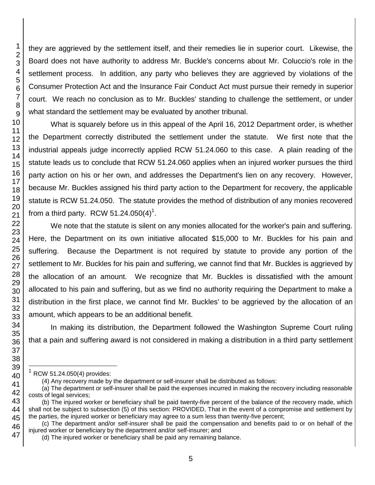they are aggrieved by the settlement itself, and their remedies lie in superior court. Likewise, the Board does not have authority to address Mr. Buckle's concerns about Mr. Coluccio's role in the settlement process. In addition, any party who believes they are aggrieved by violations of the Consumer Protection Act and the Insurance Fair Conduct Act must pursue their remedy in superior court. We reach no conclusion as to Mr. Buckles' standing to challenge the settlement, or under what standard the settlement may be evaluated by another tribunal.

What is squarely before us in this appeal of the April 16, 2012 Department order, is whether the Department correctly distributed the settlement under the statute. We first note that the industrial appeals judge incorrectly applied RCW 51.24.060 to this case. A plain reading of the statute leads us to conclude that RCW 51.24.060 applies when an injured worker pursues the third party action on his or her own, and addresses the Department's lien on any recovery. However, because Mr. Buckles assigned his third party action to the Department for recovery, the applicable statute is RCW 51.24.050. The statute provides the method of distribution of any monies recovered from a third party. RCW 51.24.050(4)<sup>1</sup>.

We note that the statute is silent on any monies allocated for the worker's pain and suffering. Here, the Department on its own initiative allocated \$15,000 to Mr. Buckles for his pain and suffering. Because the Department is not required by statute to provide any portion of the settlement to Mr. Buckles for his pain and suffering, we cannot find that Mr. Buckles is aggrieved by the allocation of an amount. We recognize that Mr. Buckles is dissatisfied with the amount allocated to his pain and suffering, but as we find no authority requiring the Department to make a distribution in the first place, we cannot find Mr. Buckles' to be aggrieved by the allocation of an amount, which appears to be an additional benefit.

In making its distribution, the Department followed the Washington Supreme Court ruling that a pain and suffering award is not considered in making a distribution in a third party settlement

l

 $1$  RCW 51.24.050(4) provides:

<sup>(4)</sup> Any recovery made by the department or self-insurer shall be distributed as follows:

<sup>(</sup>a) The department or self-insurer shall be paid the expenses incurred in making the recovery including reasonable costs of legal services;

<sup>(</sup>b) The injured worker or beneficiary shall be paid twenty-five percent of the balance of the recovery made, which shall not be subject to subsection (5) of this section: PROVIDED, That in the event of a compromise and settlement by the parties, the injured worker or beneficiary may agree to a sum less than twenty-five percent;

<sup>(</sup>c) The department and/or self-insurer shall be paid the compensation and benefits paid to or on behalf of the injured worker or beneficiary by the department and/or self-insurer; and

<sup>(</sup>d) The injured worker or beneficiary shall be paid any remaining balance.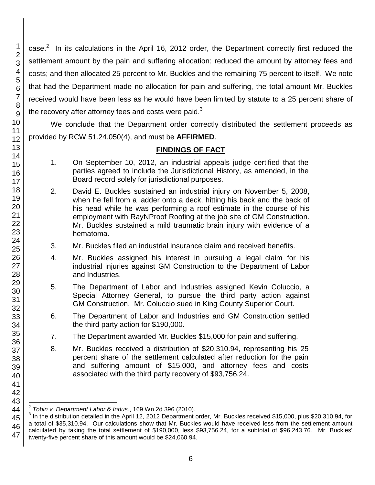case.<sup>2</sup> In its calculations in the April 16, 2012 order, the Department correctly first reduced the settlement amount by the pain and suffering allocation; reduced the amount by attorney fees and costs; and then allocated 25 percent to Mr. Buckles and the remaining 75 percent to itself. We note that had the Department made no allocation for pain and suffering, the total amount Mr. Buckles received would have been less as he would have been limited by statute to a 25 percent share of the recovery after attorney fees and costs were paid. $3$ 

We conclude that the Department order correctly distributed the settlement proceeds as provided by RCW 51.24.050(4), and must be **AFFIRMED**.

# **FINDINGS OF FACT**

- 1. On September 10, 2012, an industrial appeals judge certified that the parties agreed to include the Jurisdictional History, as amended, in the Board record solely for jurisdictional purposes.
- 2. David E. Buckles sustained an industrial injury on November 5, 2008, when he fell from a ladder onto a deck, hitting his back and the back of his head while he was performing a roof estimate in the course of his employment with RayNProof Roofing at the job site of GM Construction. Mr. Buckles sustained a mild traumatic brain injury with evidence of a hematoma.
- 3. Mr. Buckles filed an industrial insurance claim and received benefits.
- 4. Mr. Buckles assigned his interest in pursuing a legal claim for his industrial injuries against GM Construction to the Department of Labor and Industries.
- 5. The Department of Labor and Industries assigned Kevin Coluccio, a Special Attorney General, to pursue the third party action against GM Construction. Mr. Coluccio sued in King County Superior Court.
- 6. The Department of Labor and Industries and GM Construction settled the third party action for \$190,000.
- 7. The Department awarded Mr. Buckles \$15,000 for pain and suffering.
- 8. Mr. Buckles received a distribution of \$20,310.94, representing his 25 percent share of the settlement calculated after reduction for the pain and suffering amount of \$15,000, and attorney fees and costs associated with the third party recovery of \$93,756.24.

1

l 2 *Tobin v. Department Labor & Indus.*, 169 Wn.2d 396 (2010).

<sup>&</sup>lt;sup>3</sup> In the distribution detailed in the April 12, 2012 Department order, Mr. Buckles received \$15,000, plus \$20,310.94, for a total of \$35,310.94. Our calculations show that Mr. Buckles would have received less from the settlement amount calculated by taking the total settlement of \$190,000, less \$93,756.24, for a subtotal of \$96,243.76. Mr. Buckles' twenty-five percent share of this amount would be \$24,060.94.